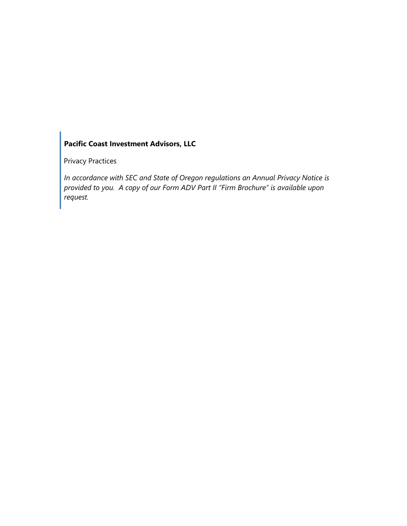## **Pacific Coast Investment Advisors, LLC**

Privacy Practices

*In accordance with SEC and State of Oregon regulations an Annual Privacy Notice is provided to you. A copy of our Form ADV Part II "Firm Brochure" is available upon request.*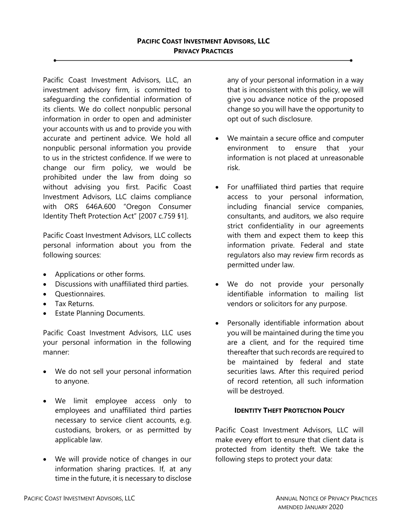Pacific Coast Investment Advisors, LLC, an investment advisory firm, is committed to safeguarding the confidential information of its clients. We do collect nonpublic personal information in order to open and administer your accounts with us and to provide you with accurate and pertinent advice. We hold all nonpublic personal information you provide to us in the strictest confidence. If we were to change our firm policy, we would be prohibited under the law from doing so without advising you first. Pacific Coast Investment Advisors, LLC claims compliance with ORS 646A.600 "Oregon Consumer Identity Theft Protection Act" [2007 c.759 §1].

Pacific Coast Investment Advisors, LLC collects personal information about you from the following sources:

- Applications or other forms.
- Discussions with unaffiliated third parties.
- Questionnaires.
- Tax Returns.
- Estate Planning Documents.

Pacific Coast Investment Advisors, LLC uses your personal information in the following manner:

- We do not sell your personal information to anyone.
- We limit employee access only to employees and unaffiliated third parties necessary to service client accounts, e.g. custodians, brokers, or as permitted by applicable law.
- We will provide notice of changes in our information sharing practices. If, at any time in the future, it is necessary to disclose

any of your personal information in a way that is inconsistent with this policy, we will give you advance notice of the proposed change so you will have the opportunity to opt out of such disclosure.

- We maintain a secure office and computer environment to ensure that your information is not placed at unreasonable risk.
- For unaffiliated third parties that require access to your personal information, including financial service companies, consultants, and auditors, we also require strict confidentiality in our agreements with them and expect them to keep this information private. Federal and state regulators also may review firm records as permitted under law.
- We do not provide your personally identifiable information to mailing list vendors or solicitors for any purpose.
- Personally identifiable information about you will be maintained during the time you are a client, and for the required time thereafter that such records are required to be maintained by federal and state securities laws. After this required period of record retention, all such information will be destroyed.

## **IDENTITY THEFT PROTECTION POLICY**

Pacific Coast Investment Advisors, LLC will make every effort to ensure that client data is protected from identity theft. We take the following steps to protect your data: